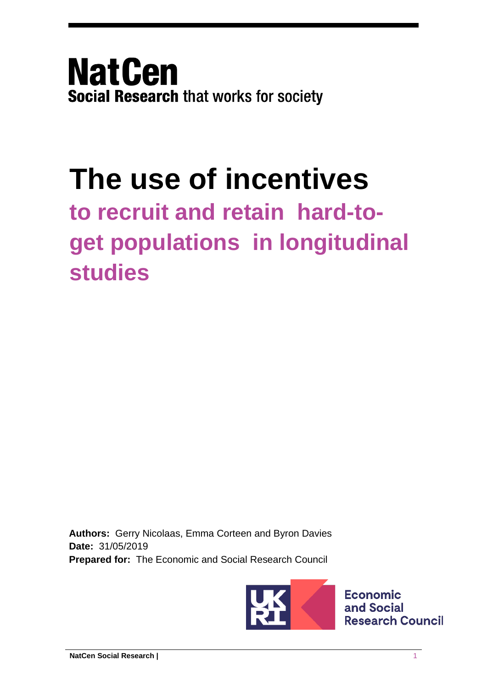**NatCen Social Research that works for society** 

# **The use of incentives**

# **to recruit and retain hard-toget populations in longitudinal studies**

**Authors:** Gerry Nicolaas, Emma Corteen and Byron Davies **Date:** 31/05/2019 **Prepared for:** The Economic and Social Research Council



**Economic** and Social **Research Council**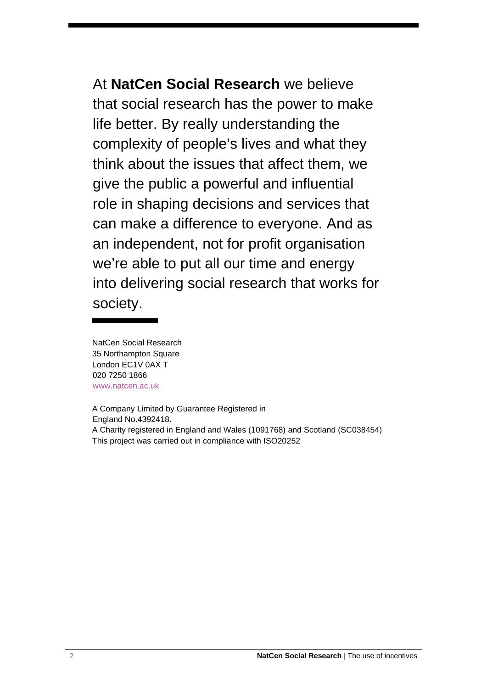At **NatCen Social Research** we believe that social research has the power to make life better. By really understanding the complexity of people's lives and what they think about the issues that affect them, we give the public a powerful and influential role in shaping decisions and services that can make a difference to everyone. And as an independent, not for profit organisation we're able to put all our time and energy into delivering social research that works for society.

NatCen Social Research 35 Northampton Square London EC1V 0AX T 020 7250 1866 [www.natcen.ac.uk](http://www.natcen.ac.uk/)

A Company Limited by Guarantee Registered in England No.4392418. A Charity registered in England and Wales (1091768) and Scotland (SC038454) This project was carried out in compliance with ISO20252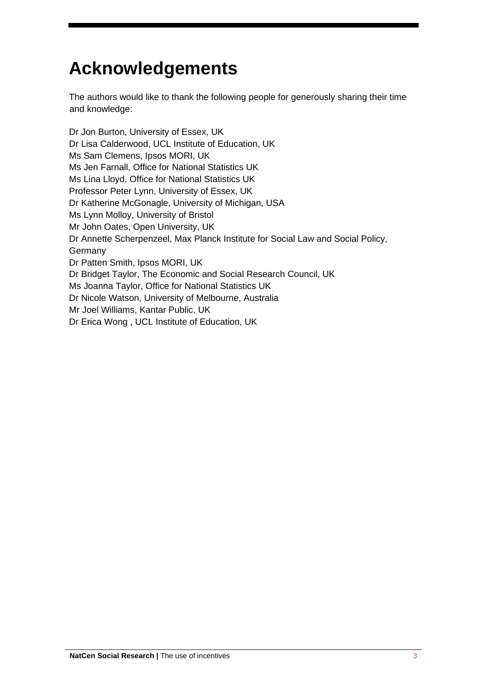## **Acknowledgements**

The authors would like to thank the following people for generously sharing their time and knowledge:

Dr Jon Burton, University of Essex, UK Dr Lisa Calderwood, UCL Institute of Education, UK Ms Sam Clemens, Ipsos MORI, UK Ms Jen Farnall, Office for National Statistics UK Ms Lina Lloyd, Office for National Statistics UK Professor Peter Lynn, University of Essex, UK Dr Katherine McGonagle, University of Michigan, USA Ms Lynn Molloy, University of Bristol Mr John Oates, Open University, UK Dr Annette Scherpenzeel, Max Planck Institute for Social Law and Social Policy, Germany Dr Patten Smith, Ipsos MORI, UK Dr Bridget Taylor, The Economic and Social Research Council, UK Ms Joanna Taylor, Office for National Statistics UK Dr Nicole Watson, University of Melbourne, Australia Mr Joel Williams, Kantar Public, UK Dr Erica Wong , UCL Institute of Education, UK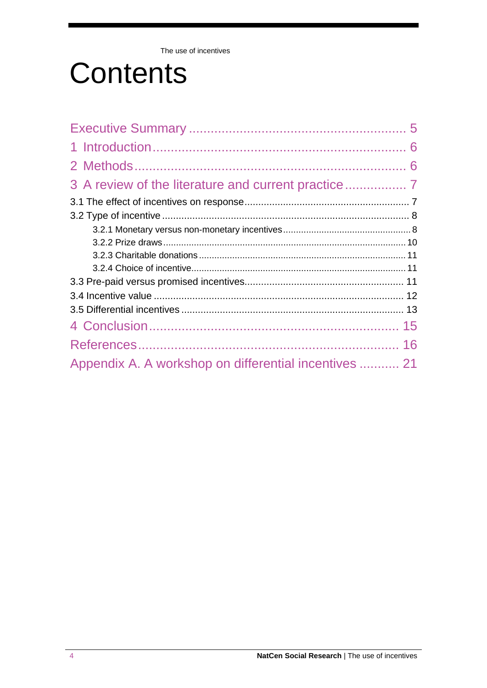The use of incentives

# **Contents**

| Appendix A. A workshop on differential incentives  21 |  |
|-------------------------------------------------------|--|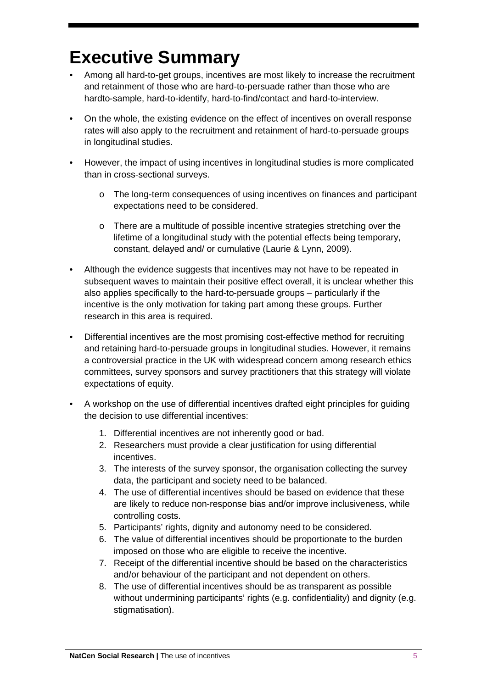### <span id="page-4-0"></span>**Executive Summary**

- Among all hard-to-get groups, incentives are most likely to increase the recruitment and retainment of those who are hard-to-persuade rather than those who are hardto-sample, hard-to-identify, hard-to-find/contact and hard-to-interview.
- On the whole, the existing evidence on the effect of incentives on overall response rates will also apply to the recruitment and retainment of hard-to-persuade groups in longitudinal studies.
- However, the impact of using incentives in longitudinal studies is more complicated than in cross-sectional surveys.
	- o The long-term consequences of using incentives on finances and participant expectations need to be considered.
	- o There are a multitude of possible incentive strategies stretching over the lifetime of a longitudinal study with the potential effects being temporary, constant, delayed and/ or cumulative (Laurie & Lynn, 2009).
- Although the evidence suggests that incentives may not have to be repeated in subsequent waves to maintain their positive effect overall, it is unclear whether this also applies specifically to the hard-to-persuade groups – particularly if the incentive is the only motivation for taking part among these groups. Further research in this area is required.
- Differential incentives are the most promising cost-effective method for recruiting and retaining hard-to-persuade groups in longitudinal studies. However, it remains a controversial practice in the UK with widespread concern among research ethics committees, survey sponsors and survey practitioners that this strategy will violate expectations of equity.
- A workshop on the use of differential incentives drafted eight principles for guiding the decision to use differential incentives:
	- 1. Differential incentives are not inherently good or bad.
	- 2. Researchers must provide a clear justification for using differential incentives.
	- 3. The interests of the survey sponsor, the organisation collecting the survey data, the participant and society need to be balanced.
	- 4. The use of differential incentives should be based on evidence that these are likely to reduce non-response bias and/or improve inclusiveness, while controlling costs.
	- 5. Participants' rights, dignity and autonomy need to be considered.
	- 6. The value of differential incentives should be proportionate to the burden imposed on those who are eligible to receive the incentive.
	- 7. Receipt of the differential incentive should be based on the characteristics and/or behaviour of the participant and not dependent on others.
	- 8. The use of differential incentives should be as transparent as possible without undermining participants' rights (e.g. confidentiality) and dignity (e.g. stigmatisation).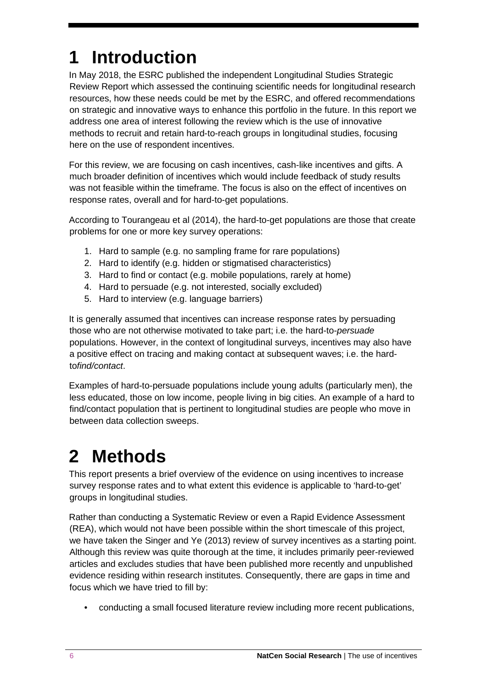# <span id="page-5-0"></span>**1 Introduction**

In May 2018, the ESRC published the independent Longitudinal Studies Strategic Review Report which assessed the continuing scientific needs for longitudinal research resources, how these needs could be met by the ESRC, and offered recommendations on strategic and innovative ways to enhance this portfolio in the future. In this report we address one area of interest following the review which is the use of innovative methods to recruit and retain hard-to-reach groups in longitudinal studies, focusing here on the use of respondent incentives.

For this review, we are focusing on cash incentives, cash-like incentives and gifts. A much broader definition of incentives which would include feedback of study results was not feasible within the timeframe. The focus is also on the effect of incentives on response rates, overall and for hard-to-get populations.

According to Tourangeau et al (2014), the hard-to-get populations are those that create problems for one or more key survey operations:

- 1. Hard to sample (e.g. no sampling frame for rare populations)
- 2. Hard to identify (e.g. hidden or stigmatised characteristics)
- 3. Hard to find or contact (e.g. mobile populations, rarely at home)
- 4. Hard to persuade (e.g. not interested, socially excluded)
- 5. Hard to interview (e.g. language barriers)

It is generally assumed that incentives can increase response rates by persuading those who are not otherwise motivated to take part; i.e. the hard-to-*persuade* populations. However, in the context of longitudinal surveys, incentives may also have a positive effect on tracing and making contact at subsequent waves; i.e. the hardto*find/contact*.

Examples of hard-to-persuade populations include young adults (particularly men), the less educated, those on low income, people living in big cities. An example of a hard to find/contact population that is pertinent to longitudinal studies are people who move in between data collection sweeps.

### <span id="page-5-1"></span>**2 Methods**

This report presents a brief overview of the evidence on using incentives to increase survey response rates and to what extent this evidence is applicable to 'hard-to-get' groups in longitudinal studies.

Rather than conducting a Systematic Review or even a Rapid Evidence Assessment (REA), which would not have been possible within the short timescale of this project, we have taken the Singer and Ye (2013) review of survey incentives as a starting point. Although this review was quite thorough at the time, it includes primarily peer-reviewed articles and excludes studies that have been published more recently and unpublished evidence residing within research institutes. Consequently, there are gaps in time and focus which we have tried to fill by:

• conducting a small focused literature review including more recent publications,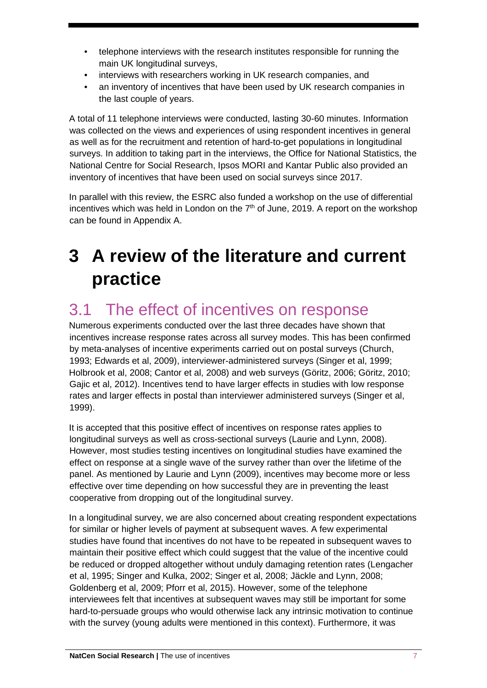- telephone interviews with the research institutes responsible for running the main UK longitudinal surveys,
- interviews with researchers working in UK research companies, and
- an inventory of incentives that have been used by UK research companies in the last couple of years.

A total of 11 telephone interviews were conducted, lasting 30-60 minutes. Information was collected on the views and experiences of using respondent incentives in general as well as for the recruitment and retention of hard-to-get populations in longitudinal surveys. In addition to taking part in the interviews, the Office for National Statistics, the National Centre for Social Research, Ipsos MORI and Kantar Public also provided an inventory of incentives that have been used on social surveys since 2017.

In parallel with this review, the ESRC also funded a workshop on the use of differential incentives which was held in London on the  $7<sup>th</sup>$  of June, 2019. A report on the workshop can be found in Appendix A.

### <span id="page-6-0"></span>**3 A review of the literature and current practice**

#### <span id="page-6-1"></span>3.1 The effect of incentives on response

Numerous experiments conducted over the last three decades have shown that incentives increase response rates across all survey modes. This has been confirmed by meta-analyses of incentive experiments carried out on postal surveys (Church, 1993; Edwards et al, 2009), interviewer-administered surveys (Singer et al, 1999; Holbrook et al, 2008; Cantor et al, 2008) and web surveys (Göritz, 2006; Göritz, 2010; Gajic et al, 2012). Incentives tend to have larger effects in studies with low response rates and larger effects in postal than interviewer administered surveys (Singer et al, 1999).

It is accepted that this positive effect of incentives on response rates applies to longitudinal surveys as well as cross-sectional surveys (Laurie and Lynn, 2008). However, most studies testing incentives on longitudinal studies have examined the effect on response at a single wave of the survey rather than over the lifetime of the panel. As mentioned by Laurie and Lynn (2009), incentives may become more or less effective over time depending on how successful they are in preventing the least cooperative from dropping out of the longitudinal survey.

In a longitudinal survey, we are also concerned about creating respondent expectations for similar or higher levels of payment at subsequent waves. A few experimental studies have found that incentives do not have to be repeated in subsequent waves to maintain their positive effect which could suggest that the value of the incentive could be reduced or dropped altogether without unduly damaging retention rates (Lengacher et al, 1995; Singer and Kulka, 2002; Singer et al, 2008; Jäckle and Lynn, 2008; Goldenberg et al, 2009; Pforr et al, 2015). However, some of the telephone interviewees felt that incentives at subsequent waves may still be important for some hard-to-persuade groups who would otherwise lack any intrinsic motivation to continue with the survey (young adults were mentioned in this context). Furthermore, it was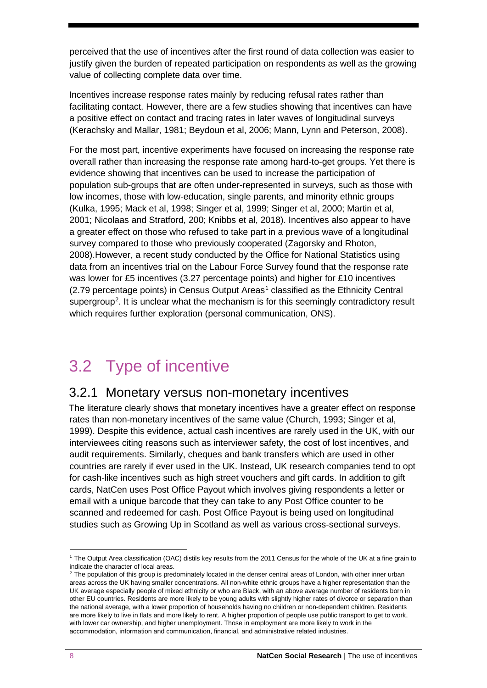perceived that the use of incentives after the first round of data collection was easier to justify given the burden of repeated participation on respondents as well as the growing value of collecting complete data over time.

Incentives increase response rates mainly by reducing refusal rates rather than facilitating contact. However, there are a few studies showing that incentives can have a positive effect on contact and tracing rates in later waves of longitudinal surveys (Kerachsky and Mallar, 1981; Beydoun et al, 2006; Mann, Lynn and Peterson, 2008).

For the most part, incentive experiments have focused on increasing the response rate overall rather than increasing the response rate among hard-to-get groups. Yet there is evidence showing that incentives can be used to increase the participation of population sub-groups that are often under-represented in surveys, such as those with low incomes, those with low-education, single parents, and minority ethnic groups (Kulka, 1995; Mack et al, 1998; Singer et al, 1999; Singer et al, 2000; Martin et al, 2001; Nicolaas and Stratford, 200; Knibbs et al, 2018). Incentives also appear to have a greater effect on those who refused to take part in a previous wave of a longitudinal survey compared to those who previously cooperated (Zagorsky and Rhoton, 2008).However, a recent study conducted by the Office for National Statistics using data from an incentives trial on the Labour Force Survey found that the response rate was lower for £5 incentives (3.27 percentage points) and higher for £10 incentives  $(2.79$  percentage points) in Census Output Areas<sup>[1](#page-7-2)</sup> classified as the Ethnicity Central supergroup<sup>[2](#page-7-3)</sup>. It is unclear what the mechanism is for this seemingly contradictory result which requires further exploration (personal communication, ONS).

### <span id="page-7-0"></span>3.2 Type of incentive

#### <span id="page-7-1"></span>3.2.1 Monetary versus non-monetary incentives

The literature clearly shows that monetary incentives have a greater effect on response rates than non-monetary incentives of the same value (Church, 1993; Singer et al, 1999). Despite this evidence, actual cash incentives are rarely used in the UK, with our interviewees citing reasons such as interviewer safety, the cost of lost incentives, and audit requirements. Similarly, cheques and bank transfers which are used in other countries are rarely if ever used in the UK. Instead, UK research companies tend to opt for cash-like incentives such as high street vouchers and gift cards. In addition to gift cards, NatCen uses Post Office Payout which involves giving respondents a letter or email with a unique barcode that they can take to any Post Office counter to be scanned and redeemed for cash. Post Office Payout is being used on longitudinal studies such as Growing Up in Scotland as well as various cross-sectional surveys.

<span id="page-7-2"></span><sup>1</sup> The Output Area classification (OAC) distils key results from the 2011 Census for the whole of the UK at a fine grain to indicate the character of local areas.

<span id="page-7-3"></span><sup>&</sup>lt;sup>2</sup> The population of this group is predominately located in the denser central areas of London, with other inner urban areas across the UK having smaller concentrations. All non-white ethnic groups have a higher representation than the UK average especially people of mixed ethnicity or who are Black, with an above average number of residents born in other EU countries. Residents are more likely to be young adults with slightly higher rates of divorce or separation than the national average, with a lower proportion of households having no children or non-dependent children. Residents are more likely to live in flats and more likely to rent. A higher proportion of people use public transport to get to work, with lower car ownership, and higher unemployment. Those in employment are more likely to work in the accommodation, information and communication, financial, and administrative related industries.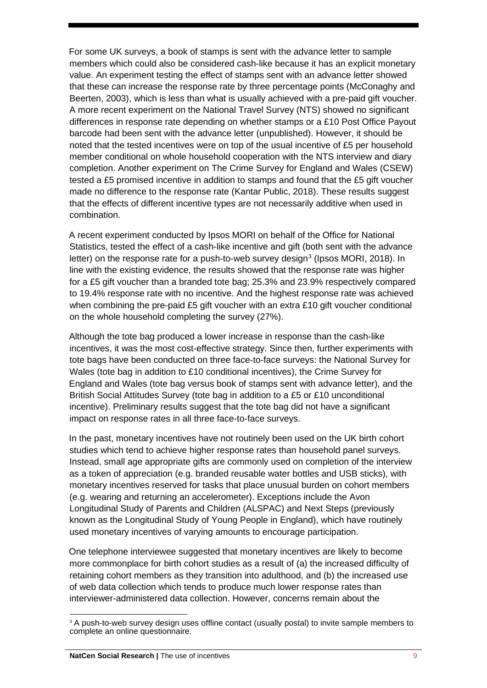For some UK surveys, a book of stamps is sent with the advance letter to sample members which could also be considered cash-like because it has an explicit monetary value. An experiment testing the effect of stamps sent with an advance letter showed that these can increase the response rate by three percentage points (McConaghy and Beerten, 2003), which is less than what is usually achieved with a pre-paid gift voucher. A more recent experiment on the National Travel Survey (NTS) showed no significant differences in response rate depending on whether stamps or a £10 Post Office Payout barcode had been sent with the advance letter (unpublished). However, it should be noted that the tested incentives were on top of the usual incentive of £5 per household member conditional on whole household cooperation with the NTS interview and diary completion. Another experiment on The Crime Survey for England and Wales (CSEW) tested a £5 promised incentive in addition to stamps and found that the £5 gift voucher made no difference to the response rate (Kantar Public, 2018). These results suggest that the effects of different incentive types are not necessarily additive when used in combination.

A recent experiment conducted by Ipsos MORI on behalf of the Office for National Statistics, tested the effect of a cash-like incentive and gift (both sent with the advance letter) on the response rate for a push-to-web survey design<sup>[3](#page-8-0)</sup> (Ipsos MORI, 2018). In line with the existing evidence, the results showed that the response rate was higher for a £5 gift voucher than a branded tote bag; 25.3% and 23.9% respectively compared to 19.4% response rate with no incentive. And the highest response rate was achieved when combining the pre-paid £5 gift voucher with an extra £10 gift voucher conditional on the whole household completing the survey (27%).

Although the tote bag produced a lower increase in response than the cash-like incentives, it was the most cost-effective strategy. Since then, further experiments with tote bags have been conducted on three face-to-face surveys: the National Survey for Wales (tote bag in addition to £10 conditional incentives), the Crime Survey for England and Wales (tote bag versus book of stamps sent with advance letter), and the British Social Attitudes Survey (tote bag in addition to a £5 or £10 unconditional incentive). Preliminary results suggest that the tote bag did not have a significant impact on response rates in all three face-to-face surveys.

In the past, monetary incentives have not routinely been used on the UK birth cohort studies which tend to achieve higher response rates than household panel surveys. Instead, small age appropriate gifts are commonly used on completion of the interview as a token of appreciation (e.g. branded reusable water bottles and USB sticks), with monetary incentives reserved for tasks that place unusual burden on cohort members (e.g. wearing and returning an accelerometer). Exceptions include the Avon Longitudinal Study of Parents and Children (ALSPAC) and Next Steps (previously known as the Longitudinal Study of Young People in England), which have routinely used monetary incentives of varying amounts to encourage participation.

One telephone interviewee suggested that monetary incentives are likely to become more commonplace for birth cohort studies as a result of (a) the increased difficulty of retaining cohort members as they transition into adulthood, and (b) the increased use of web data collection which tends to produce much lower response rates than interviewer-administered data collection. However, concerns remain about the

<span id="page-8-0"></span><sup>&</sup>lt;sup>3</sup> A push-to-web survey design uses offline contact (usually postal) to invite sample members to complete an online questionnaire.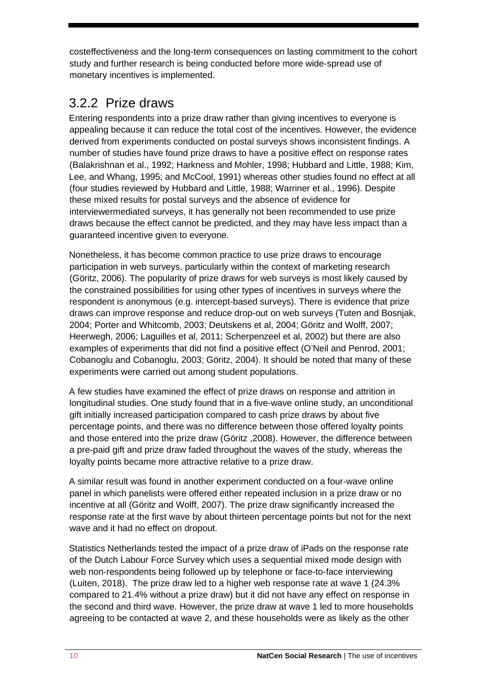costeffectiveness and the long-term consequences on lasting commitment to the cohort study and further research is being conducted before more wide-spread use of monetary incentives is implemented.

#### <span id="page-9-0"></span>3.2.2 Prize draws

Entering respondents into a prize draw rather than giving incentives to everyone is appealing because it can reduce the total cost of the incentives. However, the evidence derived from experiments conducted on postal surveys shows inconsistent findings. A number of studies have found prize draws to have a positive effect on response rates (Balakrishnan et al., 1992; Harkness and Mohler, 1998; Hubbard and Little, 1988; Kim, Lee, and Whang, 1995; and McCool, 1991) whereas other studies found no effect at all (four studies reviewed by Hubbard and Little, 1988; Warriner et al., 1996). Despite these mixed results for postal surveys and the absence of evidence for interviewermediated surveys, it has generally not been recommended to use prize draws because the effect cannot be predicted, and they may have less impact than a guaranteed incentive given to everyone.

Nonetheless, it has become common practice to use prize draws to encourage participation in web surveys, particularly within the context of marketing research (Göritz, 2006). The popularity of prize draws for web surveys is most likely caused by the constrained possibilities for using other types of incentives in surveys where the respondent is anonymous (e.g. intercept-based surveys). There is evidence that prize draws can improve response and reduce drop-out on web surveys (Tuten and Bosnjak, 2004; Porter and Whitcomb, 2003; Deutskens et al, 2004; Göritz and Wolff, 2007; Heerwegh, 2006; Laguilles et al, 2011; Scherpenzeel et al, 2002) but there are also examples of experiments that did not find a positive effect (O'Neil and Penrod, 2001; Cobanoglu and Cobanoglu, 2003; Göritz, 2004). It should be noted that many of these experiments were carried out among student populations.

A few studies have examined the effect of prize draws on response and attrition in longitudinal studies. One study found that in a five-wave online study, an unconditional gift initially increased participation compared to cash prize draws by about five percentage points, and there was no difference between those offered loyalty points and those entered into the prize draw (Göritz ,2008). However, the difference between a pre-paid gift and prize draw faded throughout the waves of the study, whereas the loyalty points became more attractive relative to a prize draw.

A similar result was found in another experiment conducted on a four-wave online panel in which panelists were offered either repeated inclusion in a prize draw or no incentive at all (Göritz and Wolff, 2007). The prize draw significantly increased the response rate at the first wave by about thirteen percentage points but not for the next wave and it had no effect on dropout.

Statistics Netherlands tested the impact of a prize draw of iPads on the response rate of the Dutch Labour Force Survey which uses a sequential mixed mode design with web non-respondents being followed up by telephone or face-to-face interviewing (Luiten, 2018). The prize draw led to a higher web response rate at wave 1 (24.3% compared to 21.4% without a prize draw) but it did not have any effect on response in the second and third wave. However, the prize draw at wave 1 led to more households agreeing to be contacted at wave 2, and these households were as likely as the other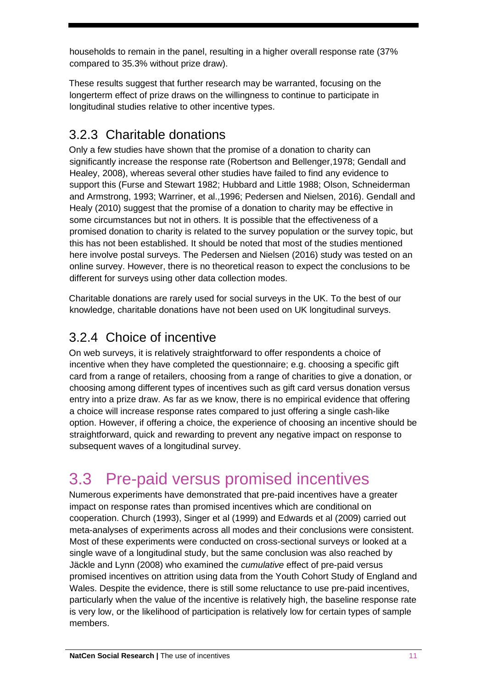households to remain in the panel, resulting in a higher overall response rate (37% compared to 35.3% without prize draw).

These results suggest that further research may be warranted, focusing on the longerterm effect of prize draws on the willingness to continue to participate in longitudinal studies relative to other incentive types.

#### <span id="page-10-0"></span>3.2.3 Charitable donations

Only a few studies have shown that the promise of a donation to charity can significantly increase the response rate (Robertson and Bellenger,1978; Gendall and Healey, 2008), whereas several other studies have failed to find any evidence to support this (Furse and Stewart 1982; Hubbard and Little 1988; Olson, Schneiderman and Armstrong, 1993; Warriner, et al.,1996; Pedersen and Nielsen, 2016). Gendall and Healy (2010) suggest that the promise of a donation to charity may be effective in some circumstances but not in others. It is possible that the effectiveness of a promised donation to charity is related to the survey population or the survey topic, but this has not been established. It should be noted that most of the studies mentioned here involve postal surveys. The Pedersen and Nielsen (2016) study was tested on an online survey. However, there is no theoretical reason to expect the conclusions to be different for surveys using other data collection modes.

Charitable donations are rarely used for social surveys in the UK. To the best of our knowledge, charitable donations have not been used on UK longitudinal surveys.

#### <span id="page-10-1"></span>3.2.4 Choice of incentive

On web surveys, it is relatively straightforward to offer respondents a choice of incentive when they have completed the questionnaire; e.g. choosing a specific gift card from a range of retailers, choosing from a range of charities to give a donation, or choosing among different types of incentives such as gift card versus donation versus entry into a prize draw. As far as we know, there is no empirical evidence that offering a choice will increase response rates compared to just offering a single cash-like option. However, if offering a choice, the experience of choosing an incentive should be straightforward, quick and rewarding to prevent any negative impact on response to subsequent waves of a longitudinal survey.

### <span id="page-10-2"></span>3.3 Pre-paid versus promised incentives

Numerous experiments have demonstrated that pre-paid incentives have a greater impact on response rates than promised incentives which are conditional on cooperation. Church (1993), Singer et al (1999) and Edwards et al (2009) carried out meta-analyses of experiments across all modes and their conclusions were consistent. Most of these experiments were conducted on cross-sectional surveys or looked at a single wave of a longitudinal study, but the same conclusion was also reached by Jäckle and Lynn (2008) who examined the *cumulative* effect of pre-paid versus promised incentives on attrition using data from the Youth Cohort Study of England and Wales. Despite the evidence, there is still some reluctance to use pre-paid incentives, particularly when the value of the incentive is relatively high, the baseline response rate is very low, or the likelihood of participation is relatively low for certain types of sample members.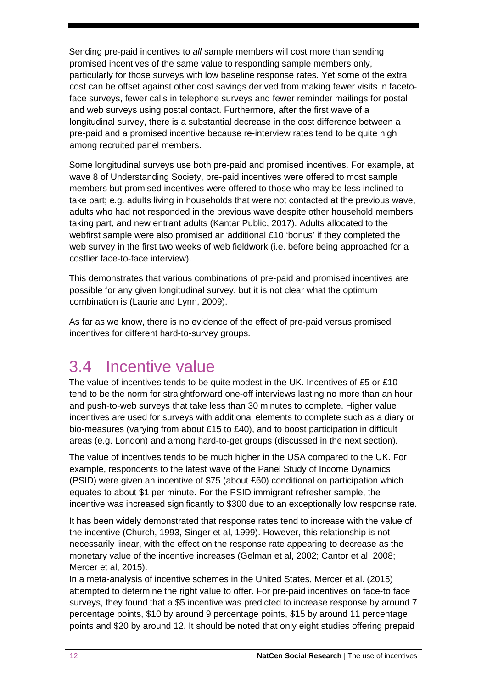Sending pre-paid incentives to *all* sample members will cost more than sending promised incentives of the same value to responding sample members only, particularly for those surveys with low baseline response rates. Yet some of the extra cost can be offset against other cost savings derived from making fewer visits in facetoface surveys, fewer calls in telephone surveys and fewer reminder mailings for postal and web surveys using postal contact. Furthermore, after the first wave of a longitudinal survey, there is a substantial decrease in the cost difference between a pre-paid and a promised incentive because re-interview rates tend to be quite high among recruited panel members.

Some longitudinal surveys use both pre-paid and promised incentives. For example, at wave 8 of Understanding Society, pre-paid incentives were offered to most sample members but promised incentives were offered to those who may be less inclined to take part; e.g. adults living in households that were not contacted at the previous wave, adults who had not responded in the previous wave despite other household members taking part, and new entrant adults (Kantar Public, 2017). Adults allocated to the webfirst sample were also promised an additional £10 'bonus' if they completed the web survey in the first two weeks of web fieldwork (i.e. before being approached for a costlier face-to-face interview).

This demonstrates that various combinations of pre-paid and promised incentives are possible for any given longitudinal survey, but it is not clear what the optimum combination is (Laurie and Lynn, 2009).

As far as we know, there is no evidence of the effect of pre-paid versus promised incentives for different hard-to-survey groups.

#### <span id="page-11-0"></span>3.4 Incentive value

The value of incentives tends to be quite modest in the UK. Incentives of £5 or £10 tend to be the norm for straightforward one-off interviews lasting no more than an hour and push-to-web surveys that take less than 30 minutes to complete. Higher value incentives are used for surveys with additional elements to complete such as a diary or bio-measures (varying from about £15 to £40), and to boost participation in difficult areas (e.g. London) and among hard-to-get groups (discussed in the next section).

The value of incentives tends to be much higher in the USA compared to the UK. For example, respondents to the latest wave of the Panel Study of Income Dynamics (PSID) were given an incentive of \$75 (about £60) conditional on participation which equates to about \$1 per minute. For the PSID immigrant refresher sample, the incentive was increased significantly to \$300 due to an exceptionally low response rate.

It has been widely demonstrated that response rates tend to increase with the value of the incentive (Church, 1993, Singer et al, 1999). However, this relationship is not necessarily linear, with the effect on the response rate appearing to decrease as the monetary value of the incentive increases (Gelman et al, 2002; Cantor et al, 2008; Mercer et al, 2015).

In a meta-analysis of incentive schemes in the United States, Mercer et al. (2015) attempted to determine the right value to offer. For pre-paid incentives on face-to face surveys, they found that a \$5 incentive was predicted to increase response by around 7 percentage points, \$10 by around 9 percentage points, \$15 by around 11 percentage points and \$20 by around 12. It should be noted that only eight studies offering prepaid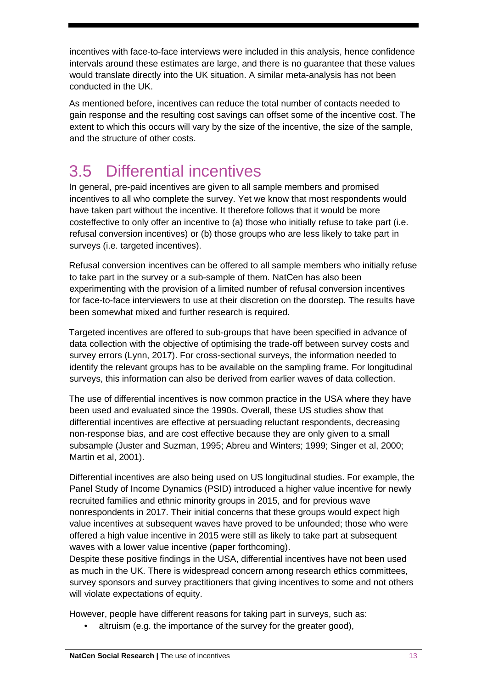incentives with face-to-face interviews were included in this analysis, hence confidence intervals around these estimates are large, and there is no guarantee that these values would translate directly into the UK situation. A similar meta-analysis has not been conducted in the UK.

As mentioned before, incentives can reduce the total number of contacts needed to gain response and the resulting cost savings can offset some of the incentive cost. The extent to which this occurs will vary by the size of the incentive, the size of the sample, and the structure of other costs.

### <span id="page-12-0"></span>3.5 Differential incentives

In general, pre-paid incentives are given to all sample members and promised incentives to all who complete the survey. Yet we know that most respondents would have taken part without the incentive. It therefore follows that it would be more costeffective to only offer an incentive to (a) those who initially refuse to take part (i.e. refusal conversion incentives) or (b) those groups who are less likely to take part in surveys (i.e. targeted incentives).

Refusal conversion incentives can be offered to all sample members who initially refuse to take part in the survey or a sub-sample of them. NatCen has also been experimenting with the provision of a limited number of refusal conversion incentives for face-to-face interviewers to use at their discretion on the doorstep. The results have been somewhat mixed and further research is required.

Targeted incentives are offered to sub-groups that have been specified in advance of data collection with the objective of optimising the trade-off between survey costs and survey errors (Lynn, 2017). For cross-sectional surveys, the information needed to identify the relevant groups has to be available on the sampling frame. For longitudinal surveys, this information can also be derived from earlier waves of data collection.

The use of differential incentives is now common practice in the USA where they have been used and evaluated since the 1990s. Overall, these US studies show that differential incentives are effective at persuading reluctant respondents, decreasing non-response bias, and are cost effective because they are only given to a small subsample (Juster and Suzman, 1995; Abreu and Winters; 1999; Singer et al, 2000; Martin et al, 2001).

Differential incentives are also being used on US longitudinal studies. For example, the Panel Study of Income Dynamics (PSID) introduced a higher value incentive for newly recruited families and ethnic minority groups in 2015, and for previous wave nonrespondents in 2017. Their initial concerns that these groups would expect high value incentives at subsequent waves have proved to be unfounded; those who were offered a high value incentive in 2015 were still as likely to take part at subsequent waves with a lower value incentive (paper forthcoming).

Despite these positive findings in the USA, differential incentives have not been used as much in the UK. There is widespread concern among research ethics committees, survey sponsors and survey practitioners that giving incentives to some and not others will violate expectations of equity.

However, people have different reasons for taking part in surveys, such as:

• altruism (e.g. the importance of the survey for the greater good),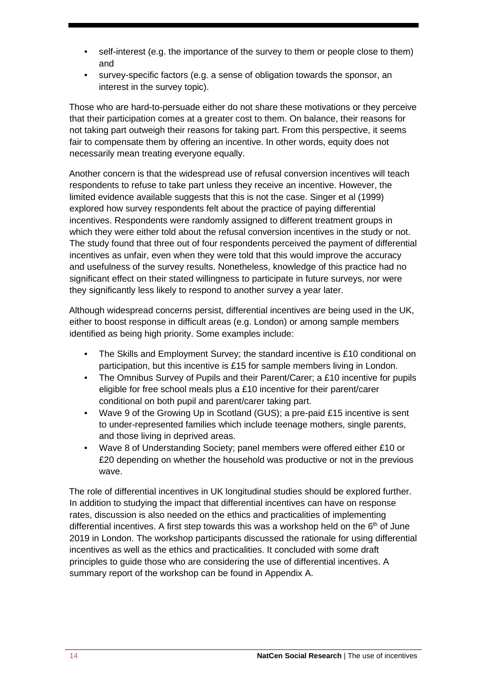- self-interest (e.g. the importance of the survey to them or people close to them) and
- survey-specific factors (e.g. a sense of obligation towards the sponsor, an interest in the survey topic).

Those who are hard-to-persuade either do not share these motivations or they perceive that their participation comes at a greater cost to them. On balance, their reasons for not taking part outweigh their reasons for taking part. From this perspective, it seems fair to compensate them by offering an incentive. In other words, equity does not necessarily mean treating everyone equally.

Another concern is that the widespread use of refusal conversion incentives will teach respondents to refuse to take part unless they receive an incentive. However, the limited evidence available suggests that this is not the case. Singer et al (1999) explored how survey respondents felt about the practice of paying differential incentives. Respondents were randomly assigned to different treatment groups in which they were either told about the refusal conversion incentives in the study or not. The study found that three out of four respondents perceived the payment of differential incentives as unfair, even when they were told that this would improve the accuracy and usefulness of the survey results. Nonetheless, knowledge of this practice had no significant effect on their stated willingness to participate in future surveys, nor were they significantly less likely to respond to another survey a year later.

Although widespread concerns persist, differential incentives are being used in the UK, either to boost response in difficult areas (e.g. London) or among sample members identified as being high priority. Some examples include:

- The Skills and Employment Survey; the standard incentive is £10 conditional on participation, but this incentive is £15 for sample members living in London.
- The Omnibus Survey of Pupils and their Parent/Carer; a £10 incentive for pupils eligible for free school meals plus a £10 incentive for their parent/carer conditional on both pupil and parent/carer taking part.
- Wave 9 of the Growing Up in Scotland (GUS); a pre-paid £15 incentive is sent to under-represented families which include teenage mothers, single parents, and those living in deprived areas.
- Wave 8 of Understanding Society; panel members were offered either £10 or £20 depending on whether the household was productive or not in the previous wave.

The role of differential incentives in UK longitudinal studies should be explored further. In addition to studying the impact that differential incentives can have on response rates, discussion is also needed on the ethics and practicalities of implementing differential incentives. A first step towards this was a workshop held on the  $6<sup>th</sup>$  of June 2019 in London. The workshop participants discussed the rationale for using differential incentives as well as the ethics and practicalities. It concluded with some draft principles to guide those who are considering the use of differential incentives. A summary report of the workshop can be found in Appendix A.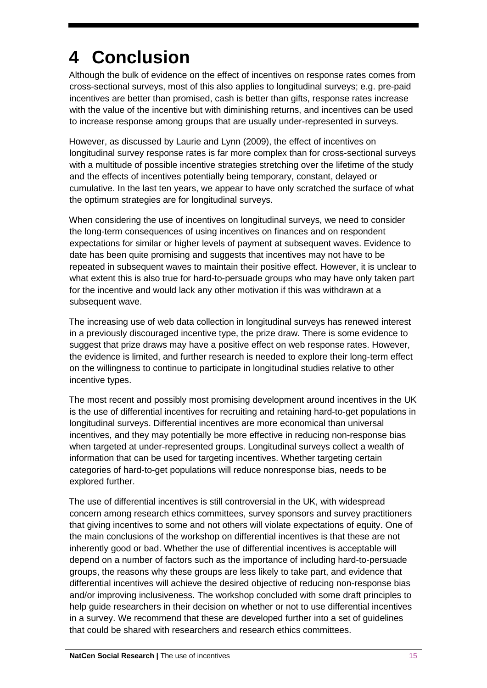# <span id="page-14-0"></span>**4 Conclusion**

Although the bulk of evidence on the effect of incentives on response rates comes from cross-sectional surveys, most of this also applies to longitudinal surveys; e.g. pre-paid incentives are better than promised, cash is better than gifts, response rates increase with the value of the incentive but with diminishing returns, and incentives can be used to increase response among groups that are usually under-represented in surveys.

However, as discussed by Laurie and Lynn (2009), the effect of incentives on longitudinal survey response rates is far more complex than for cross-sectional surveys with a multitude of possible incentive strategies stretching over the lifetime of the study and the effects of incentives potentially being temporary, constant, delayed or cumulative. In the last ten years, we appear to have only scratched the surface of what the optimum strategies are for longitudinal surveys.

When considering the use of incentives on longitudinal surveys, we need to consider the long-term consequences of using incentives on finances and on respondent expectations for similar or higher levels of payment at subsequent waves. Evidence to date has been quite promising and suggests that incentives may not have to be repeated in subsequent waves to maintain their positive effect. However, it is unclear to what extent this is also true for hard-to-persuade groups who may have only taken part for the incentive and would lack any other motivation if this was withdrawn at a subsequent wave.

The increasing use of web data collection in longitudinal surveys has renewed interest in a previously discouraged incentive type, the prize draw. There is some evidence to suggest that prize draws may have a positive effect on web response rates. However, the evidence is limited, and further research is needed to explore their long-term effect on the willingness to continue to participate in longitudinal studies relative to other incentive types.

The most recent and possibly most promising development around incentives in the UK is the use of differential incentives for recruiting and retaining hard-to-get populations in longitudinal surveys. Differential incentives are more economical than universal incentives, and they may potentially be more effective in reducing non-response bias when targeted at under-represented groups. Longitudinal surveys collect a wealth of information that can be used for targeting incentives. Whether targeting certain categories of hard-to-get populations will reduce nonresponse bias, needs to be explored further.

The use of differential incentives is still controversial in the UK, with widespread concern among research ethics committees, survey sponsors and survey practitioners that giving incentives to some and not others will violate expectations of equity. One of the main conclusions of the workshop on differential incentives is that these are not inherently good or bad. Whether the use of differential incentives is acceptable will depend on a number of factors such as the importance of including hard-to-persuade groups, the reasons why these groups are less likely to take part, and evidence that differential incentives will achieve the desired objective of reducing non-response bias and/or improving inclusiveness. The workshop concluded with some draft principles to help guide researchers in their decision on whether or not to use differential incentives in a survey. We recommend that these are developed further into a set of guidelines that could be shared with researchers and research ethics committees.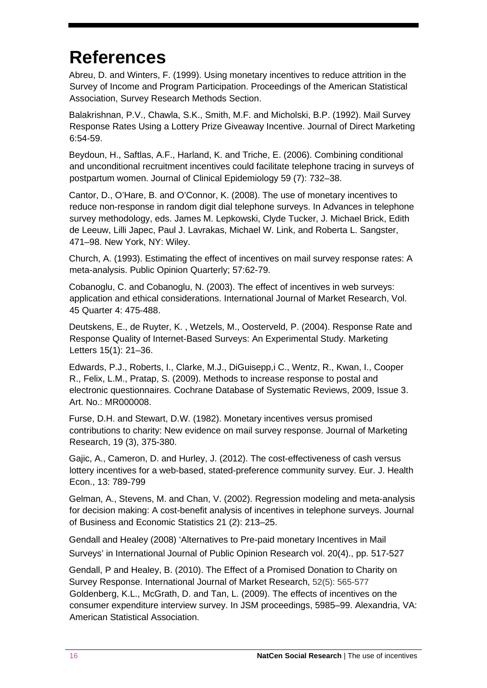### <span id="page-15-0"></span>**References**

Abreu, D. and Winters, F. (1999). Using monetary incentives to reduce attrition in the Survey of Income and Program Participation. Proceedings of the American Statistical Association, Survey Research Methods Section.

Balakrishnan, P.V., Chawla, S.K., Smith, M.F. and Micholski, B.P. (1992). Mail Survey Response Rates Using a Lottery Prize Giveaway Incentive. Journal of Direct Marketing 6:54-59.

Beydoun, H., Saftlas, A.F., Harland, K. and Triche, E. (2006). Combining conditional and unconditional recruitment incentives could facilitate telephone tracing in surveys of postpartum women. Journal of Clinical Epidemiology 59 (7): 732–38.

Cantor, D., O'Hare, B. and O'Connor, K. (2008). The use of monetary incentives to reduce non-response in random digit dial telephone surveys. In Advances in telephone survey methodology, eds. James M. Lepkowski, Clyde Tucker, J. Michael Brick, Edith de Leeuw, Lilli Japec, Paul J. Lavrakas, Michael W. Link, and Roberta L. Sangster, 471–98. New York, NY: Wiley.

Church, A. (1993). Estimating the effect of incentives on mail survey response rates: A meta-analysis. Public Opinion Quarterly; 57:62-79.

Cobanoglu, C. and Cobanoglu, N. (2003). The effect of incentives in web surveys: application and ethical considerations. International Journal of Market Research, Vol. 45 Quarter 4: 475-488.

Deutskens, E., de Ruyter, K. , Wetzels, M., Oosterveld, P. (2004). Response Rate and Response Quality of Internet-Based Surveys: An Experimental Study. Marketing Letters 15(1): 21–36.

Edwards, P.J., Roberts, I., Clarke, M.J., DiGuisepp,i C., Wentz, R., Kwan, I., Cooper R., Felix, L.M., Pratap, S. (2009). Methods to increase response to postal and electronic questionnaires. Cochrane Database of Systematic Reviews, 2009, Issue 3. Art. No.: MR000008.

Furse, D.H. and Stewart, D.W. (1982). Monetary incentives versus promised contributions to charity: New evidence on mail survey response. Journal of Marketing Research, 19 (3), 375-380.

Gajic, A., Cameron, D. and Hurley, J. (2012). The cost-effectiveness of cash versus lottery incentives for a web-based, stated-preference community survey. Eur. J. Health Econ., 13: 789-799

Gelman, A., Stevens, M. and Chan, V. (2002). Regression modeling and meta-analysis for decision making: A cost-benefit analysis of incentives in telephone surveys. Journal of Business and Economic Statistics 21 (2): 213–25.

Gendall and Healey (2008) 'Alternatives to Pre-paid monetary Incentives in Mail Surveys' in International Journal of Public Opinion Research vol. 20(4)., pp. 517-527

Gendall, P and Healey, B. (2010). The Effect of a Promised Donation to Charity on Survey Response. International Journal of Market Research, 52(5): 565-577 Goldenberg, K.L., McGrath, D. and Tan, L. (2009). The effects of incentives on the consumer expenditure interview survey. In JSM proceedings, 5985–99. Alexandria, VA: American Statistical Association.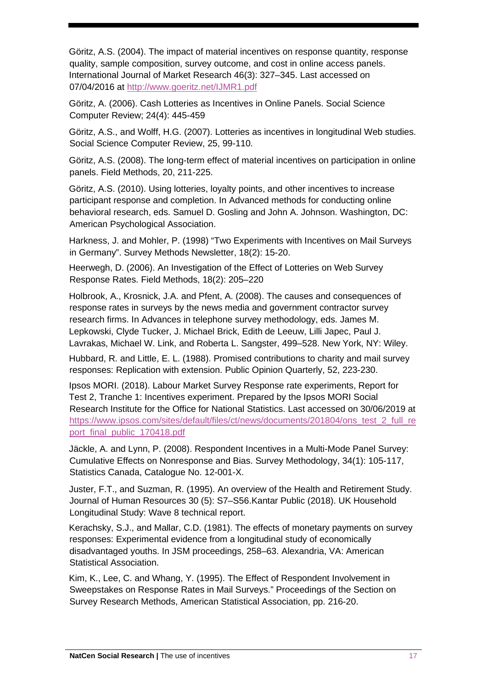Göritz, A.S. (2004). The impact of material incentives on response quantity, response quality, sample composition, survey outcome, and cost in online access panels. International Journal of Market Research 46(3): 327–345. Last accessed on 07/04/2016 at<http://www.goeritz.net/IJMR1.pdf>

Göritz, A. (2006). Cash Lotteries as Incentives in Online Panels. Social Science Computer Review; 24(4): 445-459

Göritz, A.S., and Wolff, H.G. (2007). Lotteries as incentives in longitudinal Web studies. Social Science Computer Review, 25, 99-110.

Göritz, A.S. (2008). The long-term effect of material incentives on participation in online panels. Field Methods, 20, 211-225.

Göritz, A.S. (2010). Using lotteries, loyalty points, and other incentives to increase participant response and completion. In Advanced methods for conducting online behavioral research, eds. Samuel D. Gosling and John A. Johnson. Washington, DC: American Psychological Association.

Harkness, J. and Mohler, P. (1998) "Two Experiments with Incentives on Mail Surveys in Germany". Survey Methods Newsletter, 18(2): 15-20.

Heerwegh, D. (2006). An Investigation of the Effect of Lotteries on Web Survey Response Rates. Field Methods, 18(2): 205–220

Holbrook, A., Krosnick, J.A. and Pfent, A. (2008). The causes and consequences of response rates in surveys by the news media and government contractor survey research firms. In Advances in telephone survey methodology, eds. James M. Lepkowski, Clyde Tucker, J. Michael Brick, Edith de Leeuw, Lilli Japec, Paul J. Lavrakas, Michael W. Link, and Roberta L. Sangster, 499–528. New York, NY: Wiley.

Hubbard, R. and Little, E. L. (1988). Promised contributions to charity and mail survey responses: Replication with extension. Public Opinion Quarterly, 52, 223-230.

Ipsos MORI. (2018). Labour Market Survey Response rate experiments, Report for Test 2, Tranche 1: Incentives experiment. Prepared by the Ipsos MORI Social Research Institute for the Office for National Statistics. Last accessed on 30/06/2019 at [https://www.ipsos.com/sites/default/files/ct/news/documents/201804/ons\\_test\\_2\\_full\\_re](https://www.ipsos.com/sites/default/files/ct/news/documents/2018-04/ons_test_2_full_report_final_public_170418.pdf) [port\\_final\\_public\\_170418.pdf](https://www.ipsos.com/sites/default/files/ct/news/documents/2018-04/ons_test_2_full_report_final_public_170418.pdf)

Jäckle, A. and Lynn, P. (2008). Respondent Incentives in a Multi-Mode Panel Survey: Cumulative Effects on Nonresponse and Bias. Survey Methodology, 34(1): 105-117, Statistics Canada, Catalogue No. 12-001-X.

Juster, F.T., and Suzman, R. (1995). An overview of the Health and Retirement Study. Journal of Human Resources 30 (5): S7–S56.Kantar Public (2018). UK Household Longitudinal Study: Wave 8 technical report.

Kerachsky, S.J., and Mallar, C.D. (1981). The effects of monetary payments on survey responses: Experimental evidence from a longitudinal study of economically disadvantaged youths. In JSM proceedings, 258–63. Alexandria, VA: American Statistical Association.

Kim, K., Lee, C. and Whang, Y. (1995). The Effect of Respondent Involvement in Sweepstakes on Response Rates in Mail Surveys." Proceedings of the Section on Survey Research Methods, American Statistical Association, pp. 216-20.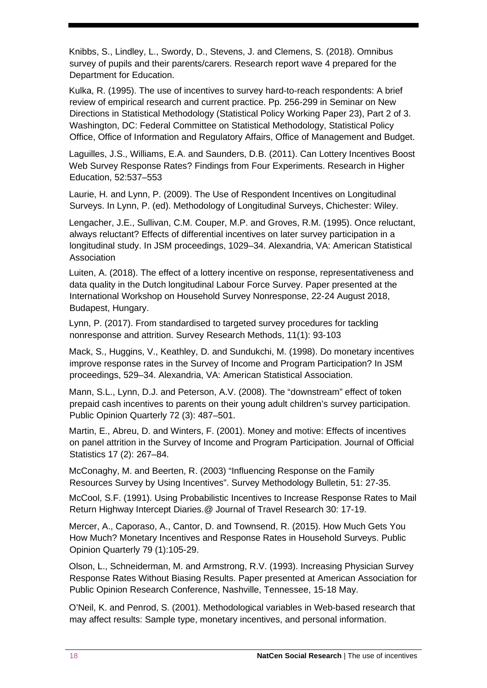Knibbs, S., Lindley, L., Swordy, D., Stevens, J. and Clemens, S. (2018). Omnibus survey of pupils and their parents/carers. Research report wave 4 prepared for the Department for Education.

Kulka, R. (1995). The use of incentives to survey hard-to-reach respondents: A brief review of empirical research and current practice. Pp. 256-299 in Seminar on New Directions in Statistical Methodology (Statistical Policy Working Paper 23), Part 2 of 3. Washington, DC: Federal Committee on Statistical Methodology, Statistical Policy Office, Office of Information and Regulatory Affairs, Office of Management and Budget.

Laguilles, J.S., Williams, E.A. and Saunders, D.B. (2011). Can Lottery Incentives Boost Web Survey Response Rates? Findings from Four Experiments. Research in Higher Education, 52:537–553

Laurie, H. and Lynn, P. (2009). The Use of Respondent Incentives on Longitudinal Surveys. In Lynn, P. (ed). Methodology of Longitudinal Surveys, Chichester: Wiley.

Lengacher, J.E., Sullivan, C.M. Couper, M.P. and Groves, R.M. (1995). Once reluctant, always reluctant? Effects of differential incentives on later survey participation in a longitudinal study. In JSM proceedings, 1029–34. Alexandria, VA: American Statistical Association

Luiten, A. (2018). The effect of a lottery incentive on response, representativeness and data quality in the Dutch longitudinal Labour Force Survey. Paper presented at the International Workshop on Household Survey Nonresponse, 22-24 August 2018, Budapest, Hungary.

Lynn, P. (2017). From standardised to targeted survey procedures for tackling nonresponse and attrition. Survey Research Methods, 11(1): 93-103

Mack, S., Huggins, V., Keathley, D. and Sundukchi, M. (1998). Do monetary incentives improve response rates in the Survey of Income and Program Participation? In JSM proceedings, 529–34. Alexandria, VA: American Statistical Association.

Mann, S.L., Lynn, D.J. and Peterson, A.V. (2008). The "downstream" effect of token prepaid cash incentives to parents on their young adult children's survey participation. Public Opinion Quarterly 72 (3): 487–501.

Martin, E., Abreu, D. and Winters, F. (2001). Money and motive: Effects of incentives on panel attrition in the Survey of Income and Program Participation. Journal of Official Statistics 17 (2): 267–84.

McConaghy, M. and Beerten, R. (2003) "Influencing Response on the Family Resources Survey by Using Incentives". Survey Methodology Bulletin, 51: 27-35.

McCool, S.F. (1991). Using Probabilistic Incentives to Increase Response Rates to Mail Return Highway Intercept Diaries.@ Journal of Travel Research 30: 17-19.

Mercer, A., Caporaso, A., Cantor, D. and Townsend, R. (2015). How Much Gets You How Much? Monetary Incentives and Response Rates in Household Surveys. Public Opinion Quarterly 79 (1):105-29.

Olson, L., Schneiderman, M. and Armstrong, R.V. (1993). Increasing Physician Survey Response Rates Without Biasing Results. Paper presented at American Association for Public Opinion Research Conference, Nashville, Tennessee, 15-18 May.

O'Neil, K. and Penrod, S. (2001). Methodological variables in Web-based research that may affect results: Sample type, monetary incentives, and personal information.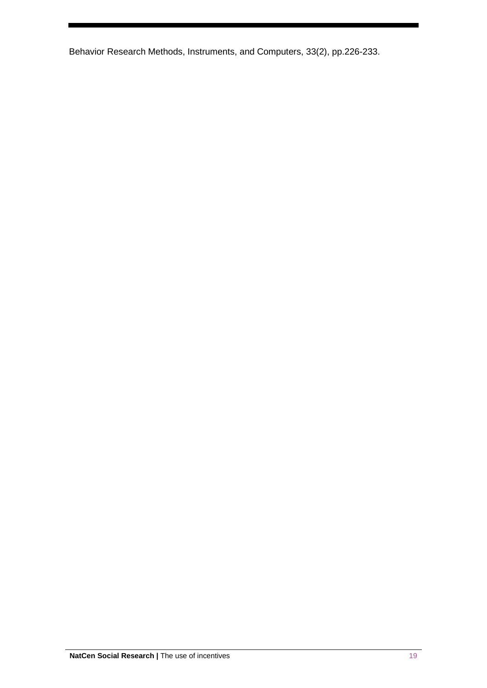Behavior Research Methods, Instruments, and Computers, 33(2), pp.226-233.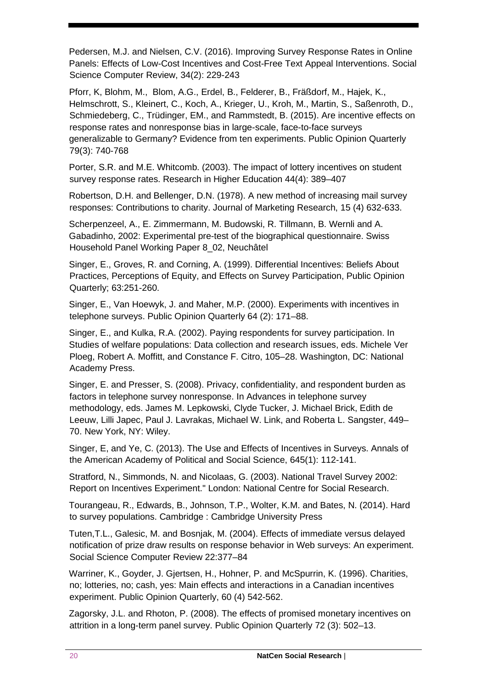Pedersen, M.J. and Nielsen, C.V. (2016). Improving Survey Response Rates in Online Panels: Effects of Low-Cost Incentives and Cost-Free Text Appeal Interventions. Social Science Computer Review, 34(2): 229-243

Pforr, K, Blohm, M., Blom, A.G., Erdel, B., Felderer, B., Fräßdorf, M., Hajek, K., Helmschrott, S., Kleinert, C., Koch, A., Krieger, U., Kroh, M., Martin, S., Saßenroth, D., Schmiedeberg, C., Trüdinger, EM., and Rammstedt, B. (2015). Are incentive effects on response rates and nonresponse bias in large-scale, face-to-face surveys generalizable to Germany? Evidence from ten experiments. Public Opinion Quarterly 79(3): 740-768

Porter, S.R. and M.E. Whitcomb. (2003). The impact of lottery incentives on student survey response rates. Research in Higher Education 44(4): 389–407

Robertson, D.H. and Bellenger, D.N. (1978). A new method of increasing mail survey responses: Contributions to charity. Journal of Marketing Research, 15 (4) 632-633.

Scherpenzeel, A., E. Zimmermann, M. Budowski, R. Tillmann, B. Wernli and A. Gabadinho, 2002: Experimental pre-test of the biographical questionnaire. Swiss Household Panel Working Paper 8\_02, Neuchâtel

Singer, E., Groves, R. and Corning, A. (1999). Differential Incentives: Beliefs About Practices, Perceptions of Equity, and Effects on Survey Participation, Public Opinion Quarterly; 63:251-260.

Singer, E., Van Hoewyk, J. and Maher, M.P. (2000). Experiments with incentives in telephone surveys. Public Opinion Quarterly 64 (2): 171–88.

Singer, E., and Kulka, R.A. (2002). Paying respondents for survey participation. In Studies of welfare populations: Data collection and research issues, eds. Michele Ver Ploeg, Robert A. Moffitt, and Constance F. Citro, 105–28. Washington, DC: National Academy Press.

Singer, E. and Presser, S. (2008). Privacy, confidentiality, and respondent burden as factors in telephone survey nonresponse. In Advances in telephone survey methodology, eds. James M. Lepkowski, Clyde Tucker, J. Michael Brick, Edith de Leeuw, Lilli Japec, Paul J. Lavrakas, Michael W. Link, and Roberta L. Sangster, 449– 70. New York, NY: Wiley.

Singer, E, and Ye, C. (2013). The Use and Effects of Incentives in Surveys. Annals of the American Academy of Political and Social Science, 645(1): 112-141.

Stratford, N., Simmonds, N. and Nicolaas, G. (2003). National Travel Survey 2002: Report on Incentives Experiment." London: National Centre for Social Research.

Tourangeau, R., Edwards, B., Johnson, T.P., Wolter, K.M. and Bates, N. (2014). Hard to survey populations. Cambridge : Cambridge University Press

Tuten,T.L., Galesic, M. and Bosnjak, M. (2004). Effects of immediate versus delayed notification of prize draw results on response behavior in Web surveys: An experiment. Social Science Computer Review 22:377–84

Warriner, K., Goyder, J. Gjertsen, H., Hohner, P. and McSpurrin, K. (1996). Charities, no; lotteries, no; cash, yes: Main effects and interactions in a Canadian incentives experiment. Public Opinion Quarterly, 60 (4) 542-562.

Zagorsky, J.L. and Rhoton, P. (2008). The effects of promised monetary incentives on attrition in a long-term panel survey. Public Opinion Quarterly 72 (3): 502–13.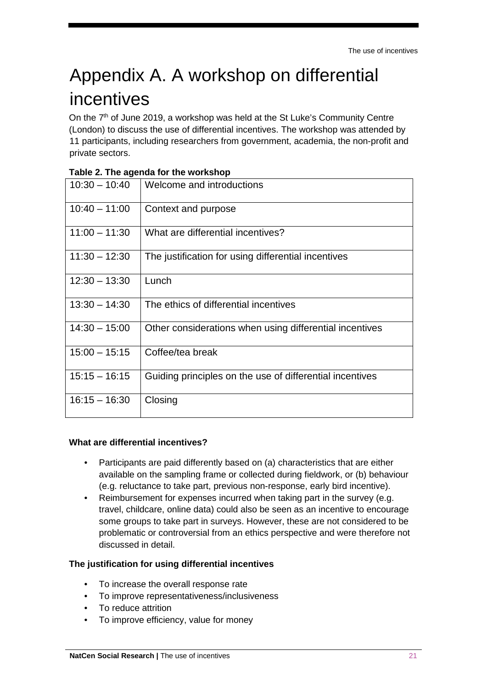## <span id="page-20-0"></span>Appendix A. A workshop on differential incentives

On the  $7<sup>th</sup>$  of June 2019, a workshop was held at the St Luke's Community Centre (London) to discuss the use of differential incentives. The workshop was attended by 11 participants, including researchers from government, academia, the non-profit and private sectors.

| $10:30 - 10:40$ | Welcome and introductions                                |
|-----------------|----------------------------------------------------------|
| $10:40 - 11:00$ | Context and purpose                                      |
| $11:00 - 11:30$ | What are differential incentives?                        |
| $11:30 - 12:30$ | The justification for using differential incentives      |
| $12:30 - 13:30$ | Lunch                                                    |
| $13:30 - 14:30$ | The ethics of differential incentives                    |
| $14:30 - 15:00$ | Other considerations when using differential incentives  |
| $15:00 - 15:15$ | Coffee/tea break                                         |
| $15:15 - 16:15$ | Guiding principles on the use of differential incentives |
| $16:15 - 16:30$ | Closing                                                  |

#### **Table 2. The agenda for the workshop**

#### **What are differential incentives?**

- Participants are paid differently based on (a) characteristics that are either available on the sampling frame or collected during fieldwork, or (b) behaviour (e.g. reluctance to take part, previous non-response, early bird incentive).
- Reimbursement for expenses incurred when taking part in the survey (e.g. travel, childcare, online data) could also be seen as an incentive to encourage some groups to take part in surveys. However, these are not considered to be problematic or controversial from an ethics perspective and were therefore not discussed in detail.

#### **The justification for using differential incentives**

- To increase the overall response rate
- To improve representativeness/inclusiveness
- To reduce attrition
- To improve efficiency, value for money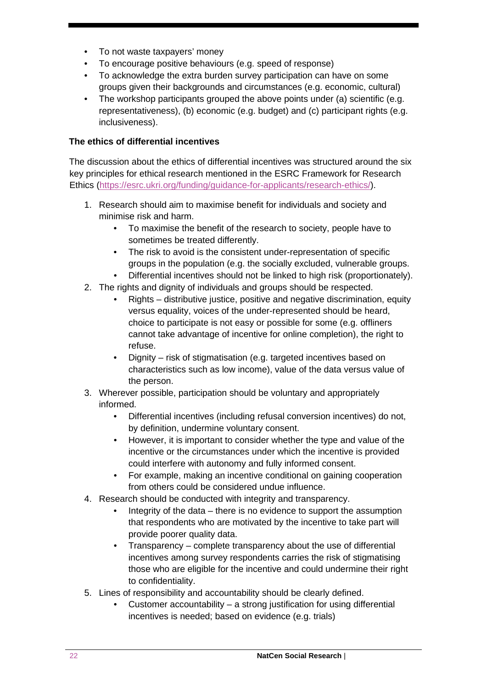- To not waste taxpayers' money
- To encourage positive behaviours (e.g. speed of response)
- To acknowledge the extra burden survey participation can have on some groups given their backgrounds and circumstances (e.g. economic, cultural)
- The workshop participants grouped the above points under (a) scientific (e.g. representativeness), (b) economic (e.g. budget) and (c) participant rights (e.g. inclusiveness).

#### **The ethics of differential incentives**

The discussion about the ethics of differential incentives was structured around the six key principles for ethical research mentioned in the ESRC Framework for Research Ethics [\(https://esrc.ukri.org/funding/guidance-for-applicants/research-ethics/\).](https://esrc.ukri.org/funding/guidance-for-applicants/research-ethics/)

- 1. Research should aim to maximise benefit for individuals and society and minimise risk and harm.
	- To maximise the benefit of the research to society, people have to sometimes be treated differently.
	- The risk to avoid is the consistent under-representation of specific groups in the population (e.g. the socially excluded, vulnerable groups.
	- Differential incentives should not be linked to high risk (proportionately).
- 2. The rights and dignity of individuals and groups should be respected.
	- Rights distributive justice, positive and negative discrimination, equity versus equality, voices of the under-represented should be heard, choice to participate is not easy or possible for some (e.g. offliners cannot take advantage of incentive for online completion), the right to refuse.
	- Dignity risk of stigmatisation (e.g. targeted incentives based on characteristics such as low income), value of the data versus value of the person.
- 3. Wherever possible, participation should be voluntary and appropriately informed.
	- Differential incentives (including refusal conversion incentives) do not, by definition, undermine voluntary consent.
	- However, it is important to consider whether the type and value of the incentive or the circumstances under which the incentive is provided could interfere with autonomy and fully informed consent.
	- For example, making an incentive conditional on gaining cooperation from others could be considered undue influence.
- 4. Research should be conducted with integrity and transparency.
	- Integrity of the data there is no evidence to support the assumption that respondents who are motivated by the incentive to take part will provide poorer quality data.
	- Transparency complete transparency about the use of differential incentives among survey respondents carries the risk of stigmatising those who are eligible for the incentive and could undermine their right to confidentiality.
- 5. Lines of responsibility and accountability should be clearly defined.
	- Customer accountability  $-$  a strong justification for using differential incentives is needed; based on evidence (e.g. trials)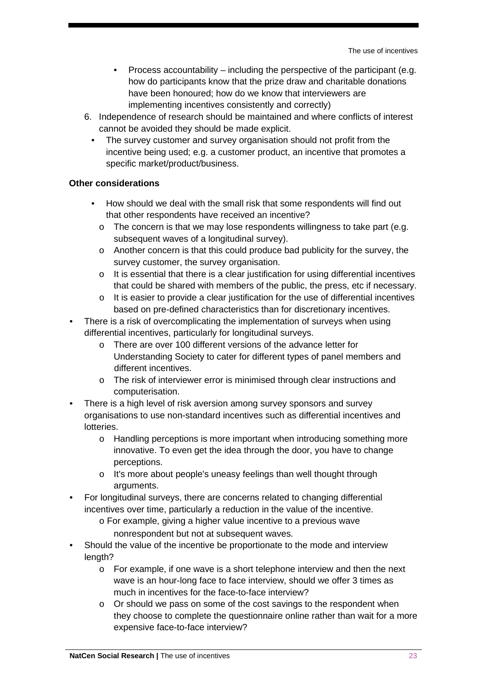- Process accountability including the perspective of the participant (e.g. how do participants know that the prize draw and charitable donations have been honoured; how do we know that interviewers are implementing incentives consistently and correctly)
- 6. Independence of research should be maintained and where conflicts of interest cannot be avoided they should be made explicit.
	- The survey customer and survey organisation should not profit from the incentive being used; e.g. a customer product, an incentive that promotes a specific market/product/business.

#### **Other considerations**

- How should we deal with the small risk that some respondents will find out that other respondents have received an incentive?
	- o The concern is that we may lose respondents willingness to take part (e.g. subsequent waves of a longitudinal survey).
	- $\circ$  Another concern is that this could produce bad publicity for the survey, the survey customer, the survey organisation.
	- $\circ$  It is essential that there is a clear justification for using differential incentives that could be shared with members of the public, the press, etc if necessary.
	- $\circ$  It is easier to provide a clear justification for the use of differential incentives based on pre-defined characteristics than for discretionary incentives.
- There is a risk of overcomplicating the implementation of surveys when using differential incentives, particularly for longitudinal surveys.
	- o There are over 100 different versions of the advance letter for Understanding Society to cater for different types of panel members and different incentives.
	- o The risk of interviewer error is minimised through clear instructions and computerisation.
- There is a high level of risk aversion among survey sponsors and survey organisations to use non-standard incentives such as differential incentives and lotteries.
	- o Handling perceptions is more important when introducing something more innovative. To even get the idea through the door, you have to change perceptions.
	- o It's more about people's uneasy feelings than well thought through arguments.
- For longitudinal surveys, there are concerns related to changing differential incentives over time, particularly a reduction in the value of the incentive.
	- o For example, giving a higher value incentive to a previous wave nonrespondent but not at subsequent waves.
- Should the value of the incentive be proportionate to the mode and interview length?
	- $\circ$  For example, if one wave is a short telephone interview and then the next wave is an hour-long face to face interview, should we offer 3 times as much in incentives for the face-to-face interview?
	- o Or should we pass on some of the cost savings to the respondent when they choose to complete the questionnaire online rather than wait for a more expensive face-to-face interview?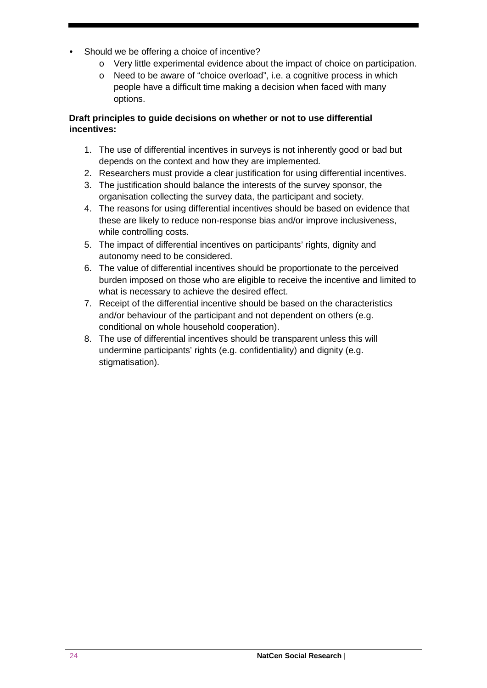- Should we be offering a choice of incentive?
	- o Very little experimental evidence about the impact of choice on participation.
	- o Need to be aware of "choice overload", i.e. a cognitive process in which people have a difficult time making a decision when faced with many options.

#### **Draft principles to guide decisions on whether or not to use differential incentives:**

- 1. The use of differential incentives in surveys is not inherently good or bad but depends on the context and how they are implemented.
- 2. Researchers must provide a clear justification for using differential incentives.
- 3. The justification should balance the interests of the survey sponsor, the organisation collecting the survey data, the participant and society.
- 4. The reasons for using differential incentives should be based on evidence that these are likely to reduce non-response bias and/or improve inclusiveness, while controlling costs.
- 5. The impact of differential incentives on participants' rights, dignity and autonomy need to be considered.
- 6. The value of differential incentives should be proportionate to the perceived burden imposed on those who are eligible to receive the incentive and limited to what is necessary to achieve the desired effect.
- 7. Receipt of the differential incentive should be based on the characteristics and/or behaviour of the participant and not dependent on others (e.g. conditional on whole household cooperation).
- 8. The use of differential incentives should be transparent unless this will undermine participants' rights (e.g. confidentiality) and dignity (e.g. stigmatisation).